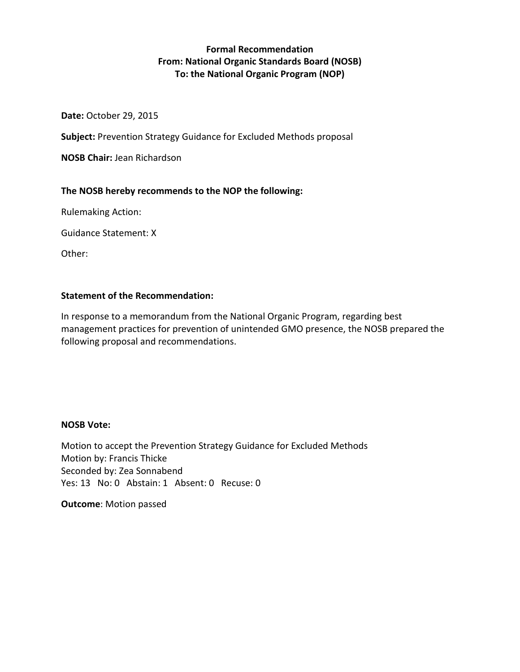# **Formal Recommendation From: National Organic Standards Board (NOSB) To: the National Organic Program (NOP)**

**Date:** October 29, 2015

**Subject:** Prevention Strategy Guidance for Excluded Methods proposal

**NOSB Chair:** Jean Richardson

# **The NOSB hereby recommends to the NOP the following:**

Rulemaking Action:

Guidance Statement: X

Other:

# **Statement of the Recommendation:**

In response to a memorandum from the National Organic Program, regarding best management practices for prevention of unintended GMO presence, the NOSB prepared the following proposal and recommendations.

# **NOSB Vote:**

Motion to accept the Prevention Strategy Guidance for Excluded Methods Motion by: Francis Thicke Seconded by: Zea Sonnabend Yes: 13 No: 0 Abstain: 1 Absent: 0 Recuse: 0

**Outcome**: Motion passed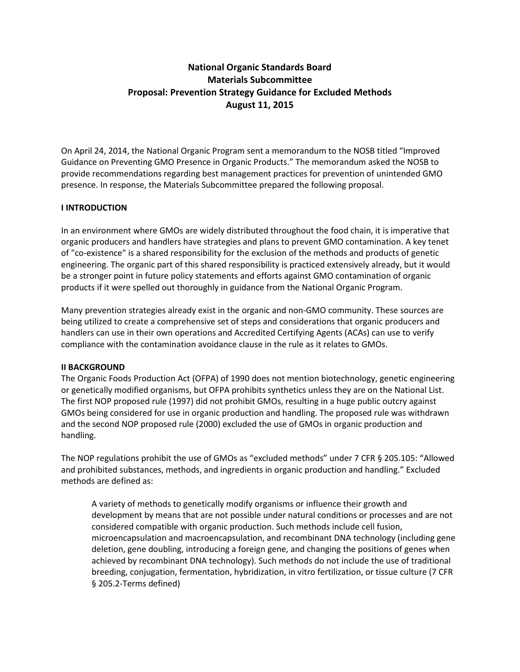# **National Organic Standards Board Materials Subcommittee Proposal: Prevention Strategy Guidance for Excluded Methods August 11, 2015**

On April 24, 2014, the National Organic Program sent a memorandum to the NOSB titled "Improved Guidance on Preventing GMO Presence in Organic Products." The memorandum asked the NOSB to provide recommendations regarding best management practices for prevention of unintended GMO presence. In response, the Materials Subcommittee prepared the following proposal.

### **I INTRODUCTION**

In an environment where GMOs are widely distributed throughout the food chain, it is imperative that organic producers and handlers have strategies and plans to prevent GMO contamination. A key tenet of "co-existence" is a shared responsibility for the exclusion of the methods and products of genetic engineering. The organic part of this shared responsibility is practiced extensively already, but it would be a stronger point in future policy statements and efforts against GMO contamination of organic products if it were spelled out thoroughly in guidance from the National Organic Program.

Many prevention strategies already exist in the organic and non-GMO community. These sources are being utilized to create a comprehensive set of steps and considerations that organic producers and handlers can use in their own operations and Accredited Certifying Agents (ACAs) can use to verify compliance with the contamination avoidance clause in the rule as it relates to GMOs.

### **II BACKGROUND**

The Organic Foods Production Act (OFPA) of 1990 does not mention biotechnology, genetic engineering or genetically modified organisms, but OFPA prohibits synthetics unless they are on the National List. The first NOP proposed rule (1997) did not prohibit GMOs, resulting in a huge public outcry against GMOs being considered for use in organic production and handling. The proposed rule was withdrawn and the second NOP proposed rule (2000) excluded the use of GMOs in organic production and handling.

The NOP regulations prohibit the use of GMOs as "excluded methods" under 7 CFR § 205.105: "Allowed and prohibited substances, methods, and ingredients in organic production and handling." Excluded methods are defined as:

A variety of methods to genetically modify organisms or influence their growth and development by means that are not possible under natural conditions or processes and are not considered compatible with organic production. Such methods include cell fusion, microencapsulation and macroencapsulation, and recombinant DNA technology (including gene deletion, gene doubling, introducing a foreign gene, and changing the positions of genes when achieved by recombinant DNA technology). Such methods do not include the use of traditional breeding, conjugation, fermentation, hybridization, in vitro fertilization, or tissue culture (7 CFR § 205.2-Terms defined)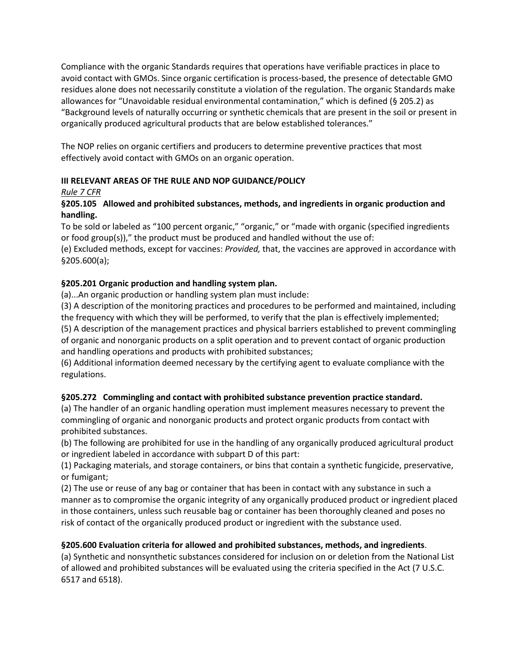Compliance with the organic Standards requires that operations have verifiable practices in place to avoid contact with GMOs. Since organic certification is process-based, the presence of detectable GMO residues alone does not necessarily constitute a violation of the regulation. The organic Standards make allowances for "Unavoidable residual environmental contamination," which is defined (§ 205.2) as "Background levels of naturally occurring or synthetic chemicals that are present in the soil or present in organically produced agricultural products that are below established tolerances."

The NOP relies on organic certifiers and producers to determine preventive practices that most effectively avoid contact with GMOs on an organic operation.

# **III RELEVANT AREAS OF THE RULE AND NOP GUIDANCE/POLICY**

# *Rule 7 CFR*

# **§205.105 Allowed and prohibited substances, methods, and ingredients in organic production and handling.**

To be sold or labeled as "100 percent organic," "organic," or "made with organic (specified ingredients or food group(s))," the product must be produced and handled without the use of:

(e) Excluded methods, except for vaccines: *Provided,* that, the vaccines are approved in accordance with §205.600(a);

# **§205.201 Organic production and handling system plan.**

(a)...An organic production or handling system plan must include:

(3) A description of the monitoring practices and procedures to be performed and maintained, including the frequency with which they will be performed, to verify that the plan is effectively implemented;

(5) A description of the management practices and physical barriers established to prevent commingling of organic and nonorganic products on a split operation and to prevent contact of organic production and handling operations and products with prohibited substances;

(6) Additional information deemed necessary by the certifying agent to evaluate compliance with the regulations.

# **§205.272 Commingling and contact with prohibited substance prevention practice standard.**

(a) The handler of an organic handling operation must implement measures necessary to prevent the commingling of organic and nonorganic products and protect organic products from contact with prohibited substances.

(b) The following are prohibited for use in the handling of any organically produced agricultural product or ingredient labeled in accordance with subpart D of this part:

(1) Packaging materials, and storage containers, or bins that contain a synthetic fungicide, preservative, or fumigant;

(2) The use or reuse of any bag or container that has been in contact with any substance in such a manner as to compromise the organic integrity of any organically produced product or ingredient placed in those containers, unless such reusable bag or container has been thoroughly cleaned and poses no risk of contact of the organically produced product or ingredient with the substance used.

# **§205.600 Evaluation criteria for allowed and prohibited substances, methods, and ingredients**.

(a) Synthetic and nonsynthetic substances considered for inclusion on or deletion from the National List of allowed and prohibited substances will be evaluated using the criteria specified in the Act (7 U.S.C. 6517 and 6518).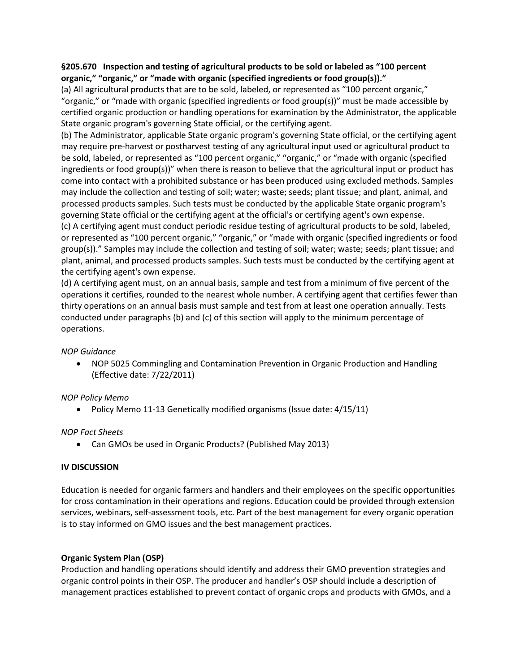### **§205.670 Inspection and testing of agricultural products to be sold or labeled as "100 percent organic," "organic," or "made with organic (specified ingredients or food group(s))."**

(a) All agricultural products that are to be sold, labeled, or represented as "100 percent organic," "organic," or "made with organic (specified ingredients or food group(s))" must be made accessible by certified organic production or handling operations for examination by the Administrator, the applicable State organic program's governing State official, or the certifying agent.

(b) The Administrator, applicable State organic program's governing State official, or the certifying agent may require pre-harvest or postharvest testing of any agricultural input used or agricultural product to be sold, labeled, or represented as "100 percent organic," "organic," or "made with organic (specified ingredients or food group(s))" when there is reason to believe that the agricultural input or product has come into contact with a prohibited substance or has been produced using excluded methods. Samples may include the collection and testing of soil; water; waste; seeds; plant tissue; and plant, animal, and processed products samples. Such tests must be conducted by the applicable State organic program's governing State official or the certifying agent at the official's or certifying agent's own expense.

(c) A certifying agent must conduct periodic residue testing of agricultural products to be sold, labeled, or represented as "100 percent organic," "organic," or "made with organic (specified ingredients or food group(s))." Samples may include the collection and testing of soil; water; waste; seeds; plant tissue; and plant, animal, and processed products samples. Such tests must be conducted by the certifying agent at the certifying agent's own expense.

(d) A certifying agent must, on an annual basis, sample and test from a minimum of five percent of the operations it certifies, rounded to the nearest whole number. A certifying agent that certifies fewer than thirty operations on an annual basis must sample and test from at least one operation annually. Tests conducted under paragraphs (b) and (c) of this section will apply to the minimum percentage of operations.

### *NOP Guidance*

• NOP 5025 Commingling and Contamination Prevention in Organic Production and Handling (Effective date: 7/22/2011)

# *NOP Policy Memo*

• Policy Memo 11-13 Genetically modified organisms (Issue date: 4/15/11)

# *NOP Fact Sheets*

• Can GMOs be used in Organic Products? (Published May 2013)

### **IV DISCUSSION**

Education is needed for organic farmers and handlers and their employees on the specific opportunities for cross contamination in their operations and regions. Education could be provided through extension services, webinars, self-assessment tools, etc. Part of the best management for every organic operation is to stay informed on GMO issues and the best management practices.

### **Organic System Plan (OSP)**

Production and handling operations should identify and address their GMO prevention strategies and organic control points in their OSP. The producer and handler's OSP should include a description of management practices established to prevent contact of organic crops and products with GMOs, and a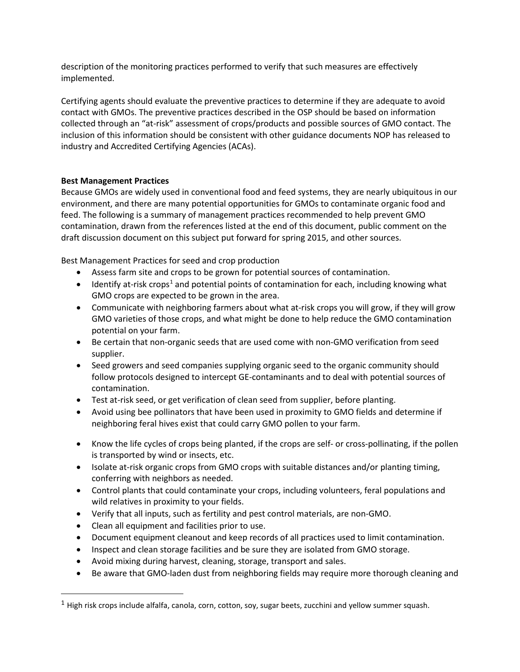description of the monitoring practices performed to verify that such measures are effectively implemented.

Certifying agents should evaluate the preventive practices to determine if they are adequate to avoid contact with GMOs. The preventive practices described in the OSP should be based on information collected through an "at-risk" assessment of crops/products and possible sources of GMO contact. The inclusion of this information should be consistent with other guidance documents NOP has released to industry and Accredited Certifying Agencies (ACAs).

### **Best Management Practices**

Because GMOs are widely used in conventional food and feed systems, they are nearly ubiquitous in our environment, and there are many potential opportunities for GMOs to contaminate organic food and feed. The following is a summary of management practices recommended to help prevent GMO contamination, drawn from the references listed at the end of this document, public comment on the draft discussion document on this subject put forward for spring 2015, and other sources.

Best Management Practices for seed and crop production

- Assess farm site and crops to be grown for potential sources of contamination.
- Identify at-risk crops<sup>[1](#page-4-0)</sup> and potential points of contamination for each, including knowing what GMO crops are expected to be grown in the area.
- Communicate with neighboring farmers about what at-risk crops you will grow, if they will grow GMO varieties of those crops, and what might be done to help reduce the GMO contamination potential on your farm.
- Be certain that non-organic seeds that are used come with non-GMO verification from seed supplier.
- Seed growers and seed companies supplying organic seed to the organic community should follow protocols designed to intercept GE-contaminants and to deal with potential sources of contamination.
- Test at-risk seed, or get verification of clean seed from supplier, before planting.
- Avoid using bee pollinators that have been used in proximity to GMO fields and determine if neighboring feral hives exist that could carry GMO pollen to your farm.
- Know the life cycles of crops being planted, if the crops are self- or cross-pollinating, if the pollen is transported by wind or insects, etc.
- Isolate at-risk organic crops from GMO crops with suitable distances and/or planting timing, conferring with neighbors as needed.
- Control plants that could contaminate your crops, including volunteers, feral populations and wild relatives in proximity to your fields.
- Verify that all inputs, such as fertility and pest control materials, are non-GMO.
- Clean all equipment and facilities prior to use.
- Document equipment cleanout and keep records of all practices used to limit contamination.
- Inspect and clean storage facilities and be sure they are isolated from GMO storage.
- Avoid mixing during harvest, cleaning, storage, transport and sales.
- Be aware that GMO-laden dust from neighboring fields may require more thorough cleaning and

<span id="page-4-0"></span> $<sup>1</sup>$  High risk crops include alfalfa, canola, corn, cotton, soy, sugar beets, zucchini and yellow summer squash.</sup>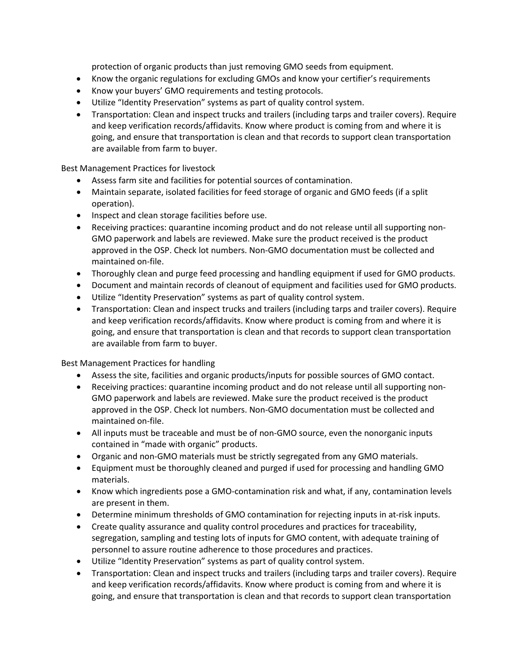protection of organic products than just removing GMO seeds from equipment.

- Know the organic regulations for excluding GMOs and know your certifier's requirements
- Know your buyers' GMO requirements and testing protocols.
- Utilize "Identity Preservation" systems as part of quality control system.
- Transportation: Clean and inspect trucks and trailers (including tarps and trailer covers). Require and keep verification records/affidavits. Know where product is coming from and where it is going, and ensure that transportation is clean and that records to support clean transportation are available from farm to buyer.

Best Management Practices for livestock

- Assess farm site and facilities for potential sources of contamination.
- Maintain separate, isolated facilities for feed storage of organic and GMO feeds (if a split operation).
- Inspect and clean storage facilities before use.
- Receiving practices: quarantine incoming product and do not release until all supporting non-GMO paperwork and labels are reviewed. Make sure the product received is the product approved in the OSP. Check lot numbers. Non-GMO documentation must be collected and maintained on-file.
- Thoroughly clean and purge feed processing and handling equipment if used for GMO products.
- Document and maintain records of cleanout of equipment and facilities used for GMO products.
- Utilize "Identity Preservation" systems as part of quality control system.
- Transportation: Clean and inspect trucks and trailers (including tarps and trailer covers). Require and keep verification records/affidavits. Know where product is coming from and where it is going, and ensure that transportation is clean and that records to support clean transportation are available from farm to buyer.

Best Management Practices for handling

- Assess the site, facilities and organic products/inputs for possible sources of GMO contact.
- Receiving practices: quarantine incoming product and do not release until all supporting non-GMO paperwork and labels are reviewed. Make sure the product received is the product approved in the OSP. Check lot numbers. Non-GMO documentation must be collected and maintained on-file.
- All inputs must be traceable and must be of non-GMO source, even the nonorganic inputs contained in "made with organic" products.
- Organic and non-GMO materials must be strictly segregated from any GMO materials.
- Equipment must be thoroughly cleaned and purged if used for processing and handling GMO materials.
- Know which ingredients pose a GMO-contamination risk and what, if any, contamination levels are present in them.
- Determine minimum thresholds of GMO contamination for rejecting inputs in at-risk inputs.
- Create quality assurance and quality control procedures and practices for traceability, segregation, sampling and testing lots of inputs for GMO content, with adequate training of personnel to assure routine adherence to those procedures and practices.
- Utilize "Identity Preservation" systems as part of quality control system.
- Transportation: Clean and inspect trucks and trailers (including tarps and trailer covers). Require and keep verification records/affidavits. Know where product is coming from and where it is going, and ensure that transportation is clean and that records to support clean transportation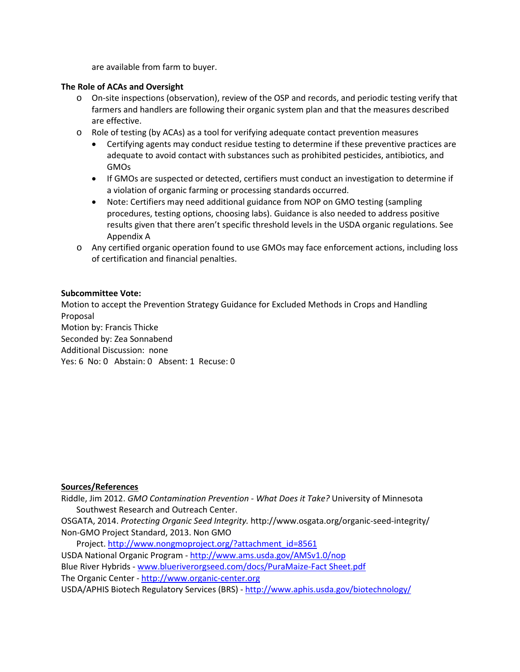are available from farm to buyer.

### **The Role of ACAs and Oversight**

- o On-site inspections (observation), review of the OSP and records, and periodic testing verify that farmers and handlers are following their organic system plan and that the measures described are effective.
- o Role of testing (by ACAs) as a tool for verifying adequate contact prevention measures
	- Certifying agents may conduct residue testing to determine if these preventive practices are adequate to avoid contact with substances such as prohibited pesticides, antibiotics, and GMOs
	- If GMOs are suspected or detected, certifiers must conduct an investigation to determine if a violation of organic farming or processing standards occurred.
	- Note: Certifiers may need additional guidance from NOP on GMO testing (sampling procedures, testing options, choosing labs). Guidance is also needed to address positive results given that there aren't specific threshold levels in the USDA organic regulations. See Appendix A
- o Any certified organic operation found to use GMOs may face enforcement actions, including loss of certification and financial penalties.

### **Subcommittee Vote:**

Motion to accept the Prevention Strategy Guidance for Excluded Methods in Crops and Handling Proposal Motion by: Francis Thicke Seconded by: Zea Sonnabend Additional Discussion: none Yes: 6 No: 0 Abstain: 0 Absent: 1 Recuse: 0

#### **Sources/References**

Riddle, Jim 2012. *GMO Contamination Prevention - What Does it Take?* University of Minnesota Southwest Research and Outreach Center.

OSGATA, 2014. *Protecting Organic Seed Integrity.* http://www.osgata.org/organic-seed-integrity/ Non-GMO Project Standard, 2013. Non GMO

Project. [http://www.nongmoproject.org/?attachment\\_id=8561](http://www.nongmoproject.org/?attachment_id=8561)

USDA National Organic Program - <http://www.ams.usda.gov/AMSv1.0/nop>

Blue River Hybrids - [www.blueriverorgseed.com/docs/PuraMaize-Fact Sheet.pdf](http://www.blueriverorgseed.com/docs/PuraMaize-Fact%20Sheet.pdf)

The Organic Center - [http://www.organic-center.org](http://www.organic-center.org/)

USDA/APHIS Biotech Regulatory Services (BRS) - <http://www.aphis.usda.gov/biotechnology/>